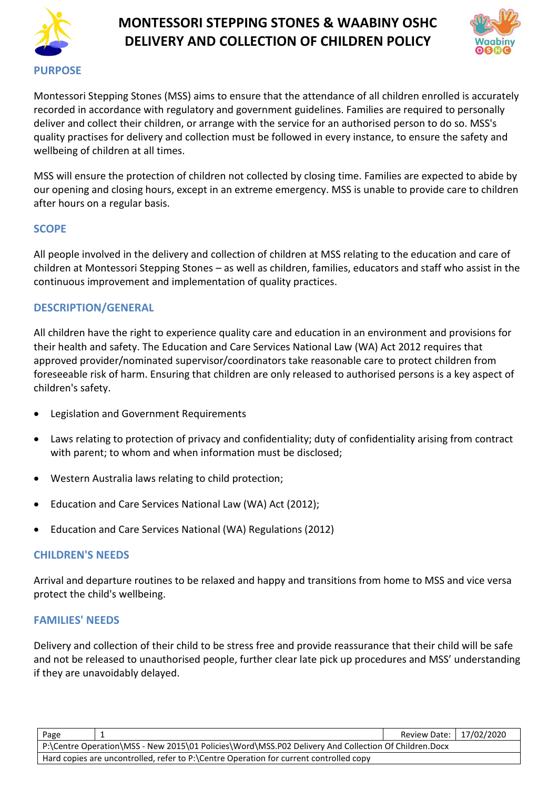



Montessori Stepping Stones (MSS) aims to ensure that the attendance of all children enrolled is accurately recorded in accordance with regulatory and government guidelines. Families are required to personally deliver and collect their children, or arrange with the service for an authorised person to do so. MSS's quality practises for delivery and collection must be followed in every instance, to ensure the safety and wellbeing of children at all times.

MSS will ensure the protection of children not collected by closing time. Families are expected to abide by our opening and closing hours, except in an extreme emergency. MSS is unable to provide care to children after hours on a regular basis.

#### **SCOPE**

All people involved in the delivery and collection of children at MSS relating to the education and care of children at Montessori Stepping Stones – as well as children, families, educators and staff who assist in the continuous improvement and implementation of quality practices.

## **DESCRIPTION/GENERAL**

All children have the right to experience quality care and education in an environment and provisions for their health and safety. The Education and Care Services National Law (WA) Act 2012 requires that approved provider/nominated supervisor/coordinators take reasonable care to protect children from foreseeable risk of harm. Ensuring that children are only released to authorised persons is a key aspect of children's safety.

- Legislation and Government Requirements
- Laws relating to protection of privacy and confidentiality; duty of confidentiality arising from contract with parent; to whom and when information must be disclosed;
- Western Australia laws relating to child protection;
- Education and Care Services National Law (WA) Act (2012);
- Education and Care Services National (WA) Regulations (2012)

#### **CHILDREN'S NEEDS**

Arrival and departure routines to be relaxed and happy and transitions from home to MSS and vice versa protect the child's wellbeing.

#### **FAMILIES' NEEDS**

Delivery and collection of their child to be stress free and provide reassurance that their child will be safe and not be released to unauthorised people, further clear late pick up procedures and MSS' understanding if they are unavoidably delayed.

| Page                                                                                                 |  | Review Date: 17/02/2020 |  |  |
|------------------------------------------------------------------------------------------------------|--|-------------------------|--|--|
| P:\Centre Operation\MSS - New 2015\01 Policies\Word\MSS.P02 Delivery And Collection Of Children.Docx |  |                         |  |  |
| Hard copies are uncontrolled, refer to P:\Centre Operation for current controlled copy               |  |                         |  |  |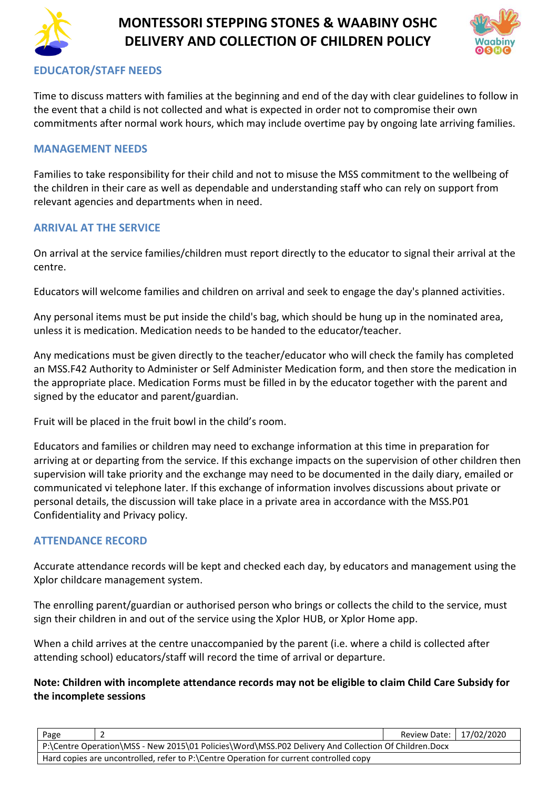



## **EDUCATOR/STAFF NEEDS**

Time to discuss matters with families at the beginning and end of the day with clear guidelines to follow in the event that a child is not collected and what is expected in order not to compromise their own commitments after normal work hours, which may include overtime pay by ongoing late arriving families.

#### **MANAGEMENT NEEDS**

Families to take responsibility for their child and not to misuse the MSS commitment to the wellbeing of the children in their care as well as dependable and understanding staff who can rely on support from relevant agencies and departments when in need.

### **ARRIVAL AT THE SERVICE**

On arrival at the service families/children must report directly to the educator to signal their arrival at the centre.

Educators will welcome families and children on arrival and seek to engage the day's planned activities.

Any personal items must be put inside the child's bag, which should be hung up in the nominated area, unless it is medication. Medication needs to be handed to the educator/teacher.

Any medications must be given directly to the teacher/educator who will check the family has completed an MSS.F42 Authority to Administer or Self Administer Medication form, and then store the medication in the appropriate place. Medication Forms must be filled in by the educator together with the parent and signed by the educator and parent/guardian.

Fruit will be placed in the fruit bowl in the child's room.

Educators and families or children may need to exchange information at this time in preparation for arriving at or departing from the service. If this exchange impacts on the supervision of other children then supervision will take priority and the exchange may need to be documented in the daily diary, emailed or communicated vi telephone later. If this exchange of information involves discussions about private or personal details, the discussion will take place in a private area in accordance with the MSS.P01 Confidentiality and Privacy policy.

#### **ATTENDANCE RECORD**

Accurate attendance records will be kept and checked each day, by educators and management using the Xplor childcare management system.

The enrolling parent/guardian or authorised person who brings or collects the child to the service, must sign their children in and out of the service using the Xplor HUB, or Xplor Home app.

When a child arrives at the centre unaccompanied by the parent (i.e. where a child is collected after attending school) educators/staff will record the time of arrival or departure.

#### **Note: Children with incomplete attendance records may not be eligible to claim Child Care Subsidy for the incomplete sessions**

| Page                                                                                                 |  | Review Date:   17/02/2020 |  |
|------------------------------------------------------------------------------------------------------|--|---------------------------|--|
| P:\Centre Operation\MSS - New 2015\01 Policies\Word\MSS.P02 Delivery And Collection Of Children.Docx |  |                           |  |
| Hard copies are uncontrolled, refer to P:\Centre Operation for current controlled copy               |  |                           |  |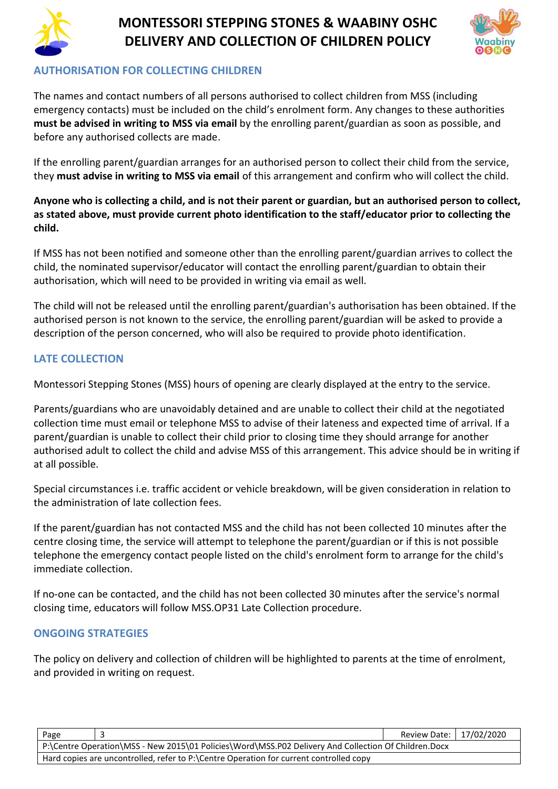



## **AUTHORISATION FOR COLLECTING CHILDREN**

The names and contact numbers of all persons authorised to collect children from MSS (including emergency contacts) must be included on the child's enrolment form. Any changes to these authorities **must be advised in writing to MSS via email** by the enrolling parent/guardian as soon as possible, and before any authorised collects are made.

If the enrolling parent/guardian arranges for an authorised person to collect their child from the service, they **must advise in writing to MSS via email** of this arrangement and confirm who will collect the child.

## **Anyone who is collecting a child, and is not their parent or guardian, but an authorised person to collect, as stated above, must provide current photo identification to the staff/educator prior to collecting the child.**

If MSS has not been notified and someone other than the enrolling parent/guardian arrives to collect the child, the nominated supervisor/educator will contact the enrolling parent/guardian to obtain their authorisation, which will need to be provided in writing via email as well.

The child will not be released until the enrolling parent/guardian's authorisation has been obtained. If the authorised person is not known to the service, the enrolling parent/guardian will be asked to provide a description of the person concerned, who will also be required to provide photo identification.

## **LATE COLLECTION**

Montessori Stepping Stones (MSS) hours of opening are clearly displayed at the entry to the service.

Parents/guardians who are unavoidably detained and are unable to collect their child at the negotiated collection time must email or telephone MSS to advise of their lateness and expected time of arrival. If a parent/guardian is unable to collect their child prior to closing time they should arrange for another authorised adult to collect the child and advise MSS of this arrangement. This advice should be in writing if at all possible.

Special circumstances i.e. traffic accident or vehicle breakdown, will be given consideration in relation to the administration of late collection fees.

If the parent/guardian has not contacted MSS and the child has not been collected 10 minutes after the centre closing time, the service will attempt to telephone the parent/guardian or if this is not possible telephone the emergency contact people listed on the child's enrolment form to arrange for the child's immediate collection.

If no-one can be contacted, and the child has not been collected 30 minutes after the service's normal closing time, educators will follow MSS.OP31 Late Collection procedure.

## **ONGOING STRATEGIES**

The policy on delivery and collection of children will be highlighted to parents at the time of enrolment, and provided in writing on request.

| Page                                                                                                 |  | Review Date:   17/02/2020 |  |
|------------------------------------------------------------------------------------------------------|--|---------------------------|--|
| P:\Centre Operation\MSS - New 2015\01 Policies\Word\MSS.P02 Delivery And Collection Of Children.Docx |  |                           |  |
| Hard copies are uncontrolled, refer to P:\Centre Operation for current controlled copy               |  |                           |  |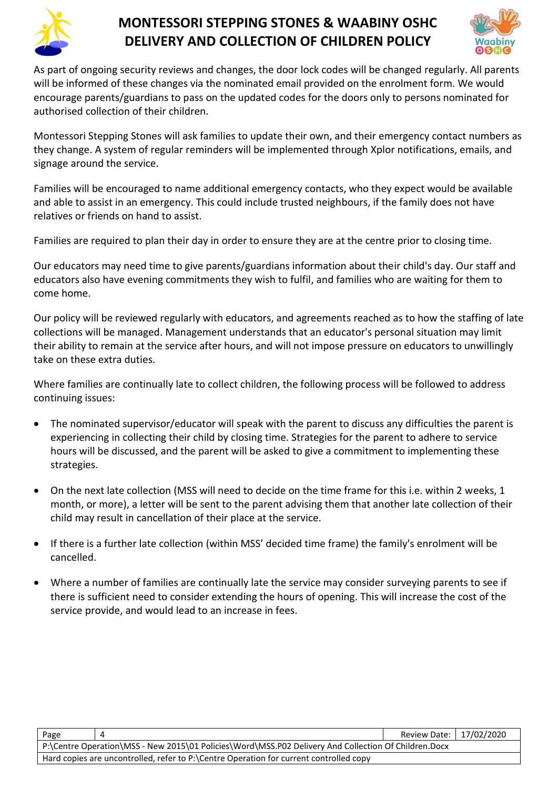



As part of ongoing security reviews and changes, the door lock codes will be changed regularly. All parents will be informed of these changes via the nominated email provided on the enrolment form. We would encourage parents/guardians to pass on the updated codes for the doors only to persons nominated for authorised collection of their children.

Montessori Stepping Stones will ask families to update their own, and their emergency contact numbers as they change. A system of regular reminders will be implemented through Xplor notifications, emails, and signage around the service.

Families will be encouraged to name additional emergency contacts, who they expect would be available and able to assist in an emergency. This could include trusted neighbours, if the family does not have relatives or friends on hand to assist.

Families are required to plan their day in order to ensure they are at the centre prior to closing time.

Our educators may need time to give parents/guardians information about their child's day. Our staff and educators also have evening commitments they wish to fulfil, and families who are waiting for them to come home.

Our policy will be reviewed regularly with educators, and agreements reached as to how the staffing of late collections will be managed. Management understands that an educator's personal situation may limit their ability to remain at the service after hours, and will not impose pressure on educators to unwillingly take on these extra duties.

Where families are continually late to collect children, the following process will be followed to address continuing issues:

- The nominated supervisor/educator will speak with the parent to discuss any difficulties the parent is experiencing in collecting their child by closing time. Strategies for the parent to adhere to service hours will be discussed, and the parent will be asked to give a commitment to implementing these strategies.
- On the next late collection (MSS will need to decide on the time frame for this i.e. within 2 weeks, 1 month, or more), a letter will be sent to the parent advising them that another late collection of their child may result in cancellation of their place at the service.
- If there is a further late collection (within MSS' decided time frame) the family's enrolment will be cancelled.
- Where a number of families are continually late the service may consider surveying parents to see if there is sufficient need to consider extending the hours of opening. This will increase the cost of the service provide, and would lead to an increase in fees.

| Page                                                                                                 |  | Review Date:   17/02/2020 |  |
|------------------------------------------------------------------------------------------------------|--|---------------------------|--|
| P:\Centre Operation\MSS - New 2015\01 Policies\Word\MSS.P02 Delivery And Collection Of Children.Docx |  |                           |  |
| Hard copies are uncontrolled, refer to P:\Centre Operation for current controlled copy               |  |                           |  |